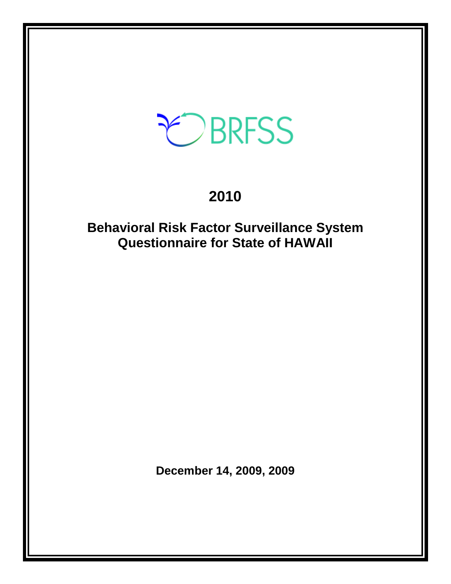# CBRFSS

# **2010**

## **Behavioral Risk Factor Surveillance System Questionnaire for State of HAWAII**

**December 14, 2009, 2009**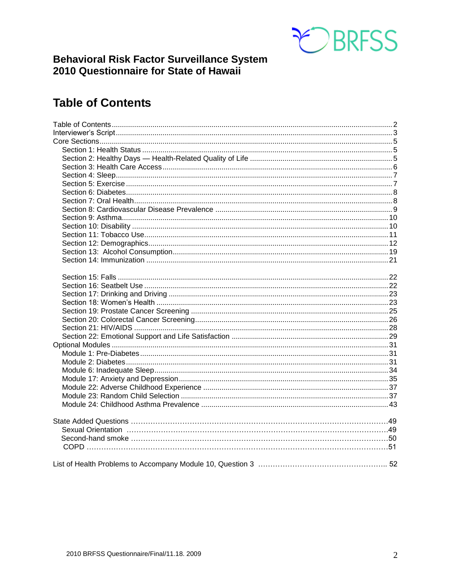

### **Behavioral Risk Factor Surveillance System** 2010 Questionnaire for State of Hawaii

### <span id="page-1-0"></span>**Table of Contents**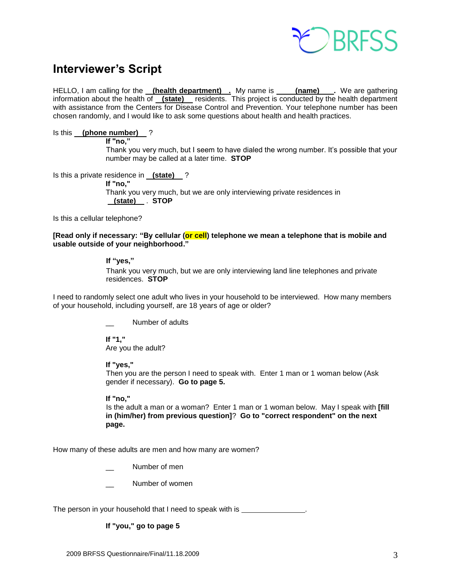

### <span id="page-2-0"></span>**Interviewer's Script**

HELLO, I am calling for the **(health department) .** My name is **(name) .** We are gathering information about the health of **(state)** residents. This project is conducted by the health department with assistance from the Centers for Disease Control and Prevention. Your telephone number has been chosen randomly, and I would like to ask some questions about health and health practices.

#### Is this **(phone number)** ?

#### **If "no,"**

Thank you very much, but I seem to have dialed the wrong number. It's possible that your number may be called at a later time. **STOP**

Is this a private residence in **(state)** ?

**If "no,"** Thank you very much, but we are only interviewing private residences in  **(state)** . **STOP**

Is this a cellular telephone?

**[Read only if necessary: "By cellular (or cell) telephone we mean a telephone that is mobile and usable outside of your neighborhood."** 

#### **If "yes,"**

Thank you very much, but we are only interviewing land line telephones and private residences. **STOP**

I need to randomly select one adult who lives in your household to be interviewed. How many members of your household, including yourself, are 18 years of age or older?

Number of adults

**If "1,"**  Are you the adult?

**If "yes,"** 

Then you are the person I need to speak with. Enter 1 man or 1 woman below (Ask gender if necessary). **Go to page 5.**

#### **If "no,"**

Is the adult a man or a woman? Enter 1 man or 1 woman below. May I speak with **[fill in (him/her) from previous question]**? **Go to "correct respondent" on the next page.**

How many of these adults are men and how many are women?

Number of men

Number of women

The person in your household that I need to speak with is \_\_\_\_\_\_\_\_\_\_\_\_\_\_\_.

#### **If "you," go to page 5**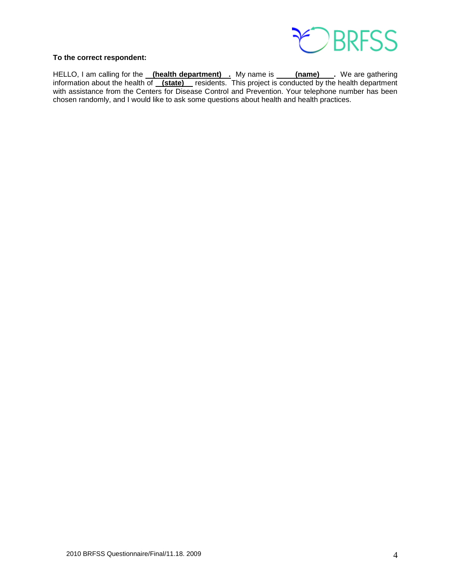

#### **To the correct respondent:**

HELLO, I am calling for the **(health department)** . My name is **(name)** . We are gathering information about the health of **(state)** residents. This project is conducted by the health department with assistance from the Centers for Disease Control and Prevention. Your telephone number has been chosen randomly, and I would like to ask some questions about health and health practices.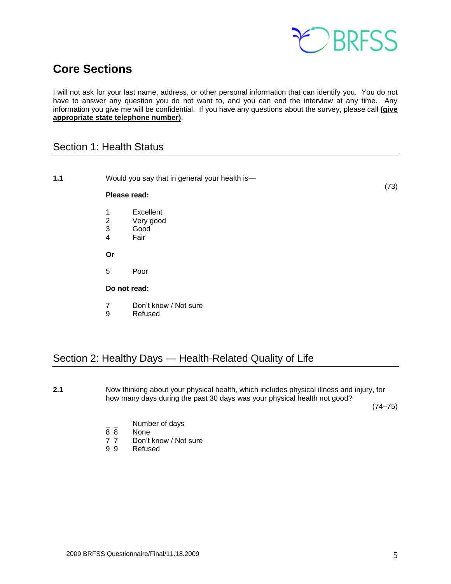

### <span id="page-4-0"></span>**Core Sections**

I will not ask for your last name, address, or other personal information that can identify you. You do not have to answer any question you do not want to, and you can end the interview at any time. Any information you give me will be confidential. If you have any questions about the survey, please call **(give appropriate state telephone number)**.

### <span id="page-4-1"></span>Section 1: Health Status

| 1.1          |                                      | Would you say that in general your health is-            | (73) |
|--------------|--------------------------------------|----------------------------------------------------------|------|
|              | Please read:                         |                                                          |      |
|              | 1<br>$\sqrt{2}$<br>$\mathbf{3}$<br>4 | Excellent<br>Very good<br>Good<br>Fair                   |      |
|              | Or                                   |                                                          |      |
|              | 5                                    | Poor                                                     |      |
| Do not read: |                                      |                                                          |      |
|              | $\overline{7}$<br>9                  | Don't know / Not sure<br>Refused                         |      |
|              |                                      | Section 2: Healthy Days — Health-Related Quality of Life |      |

<span id="page-4-2"></span>**2.1** Now thinking about your physical health, which includes physical illness and injury, for how many days during the past 30 days was your physical health not good?

(74–75)

- $\frac{1}{8}$   $\frac{1}{8}$  Number of days
- None
- 7 7 Don't know / Not sure<br>9 9 Refused
- **Refused**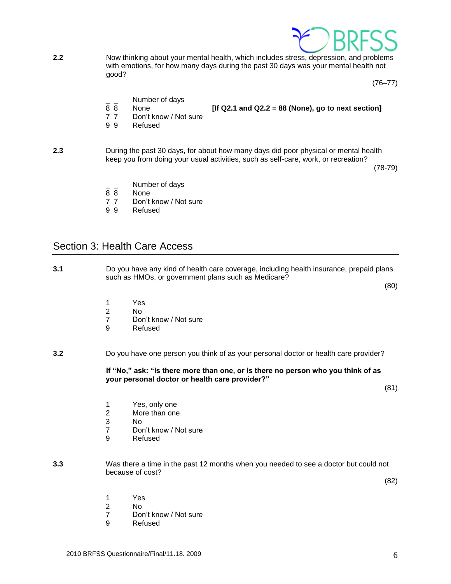

**2.2** Now thinking about your mental health, which includes stress, depression, and problems with emotions, for how many days during the past 30 days was your mental health not good?

(76–77)

- Number of days
- 8 8 None **[If Q2.1 and Q2.2 = 88 (None), go to next section]**
- 
- 7 7 Don't know / Not sure
- 9 9 Refused

**2.3** During the past 30 days, for about how many days did poor physical or mental health keep you from doing your usual activities, such as self-care, work, or recreation?

(78-79)

- Number of days
- 8 8 None
- 7 7 Don't know / Not sure
- 9 9 Refused

#### <span id="page-5-0"></span>Section 3: Health Care Access

**3.1** Do you have any kind of health care coverage, including health insurance, prepaid plans such as HMOs, or government plans such as Medicare?

(80)

- 1 Yes<br>2 No
- $No$
- 7 Don't know / Not sure<br>9 Refused
- **Refused**

**3.2** Do you have one person you think of as your personal doctor or health care provider?

**If "No," ask: "Is there more than one, or is there no person who you think of as your personal doctor or health care provider?"**

(81)

- 1 Yes, only one
- 2 More than one
- 3 No
- 7 Don't know / Not sure
- 9 Refused
- **3.3** Was there a time in the past 12 months when you needed to see a doctor but could not because of cost?

(82)

- 1 Yes
- 2 No
- 7 Don't know / Not sure
- 9 Refused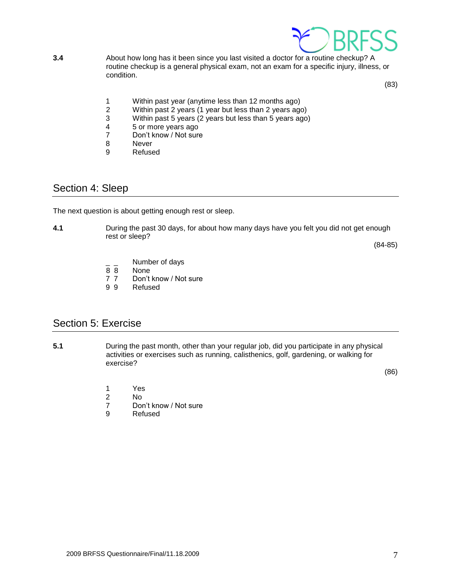

**3.4** About how long has it been since you last visited a doctor for a routine checkup? A routine checkup is a general physical exam, not an exam for a specific injury, illness, or condition.

(83)

- 1 Within past year (anytime less than 12 months ago)<br>2 Within past 2 years (1 year but less than 2 years ago
- 2 Within past 2 years (1 year but less than 2 years ago)<br>3 Within past 5 years (2 years but less than 5 years ago
- Within past 5 years (2 years but less than 5 years  $a$ go)
- 4 5 or more years ago<br>7 Don't know / Not sure
- Don't know / Not sure
- 8 Never
- 9 Refused

### <span id="page-6-0"></span>Section 4: Sleep

The next question is about getting enough rest or sleep.

**4.1** During the past 30 days, for about how many days have you felt you did not get enough rest or sleep?

(84-85)

- Number of days
- 8 8 None
- 7 7 Don't know / Not sure
- 9 9 Refused

### <span id="page-6-1"></span>Section 5: Exercise

**5.1** During the past month, other than your regular job, did you participate in any physical activities or exercises such as running, calisthenics, golf, gardening, or walking for exercise?

(86)

- 1 Yes<br>2 No
- No.
- 7 Don't know / Not sure<br>9 Refused
- **Refused**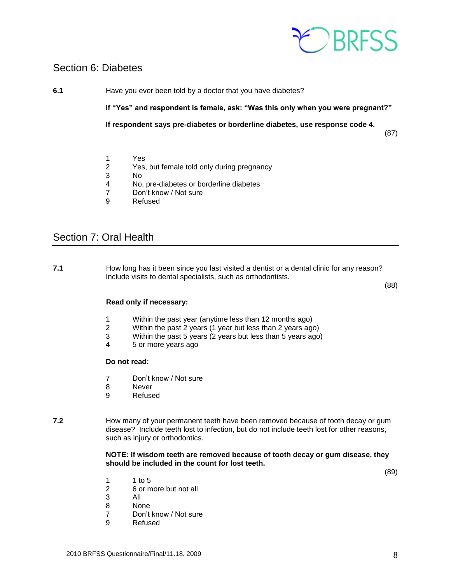

### <span id="page-7-0"></span>Section 6: Diabetes

**6.1** Have you ever been told by a doctor that you have diabetes?

**If "Yes" and respondent is female, ask: "Was this only when you were pregnant?"**

**If respondent says pre-diabetes or borderline diabetes, use response code 4.**

(87)

- 1 Yes
- 2 Yes, but female told only during pregnancy
- 3 No
- 4 No, pre-diabetes or borderline diabetes
- 7 Don't know / Not sure
- 9 Refused

### <span id="page-7-1"></span>Section 7: Oral Health

**7.1** How long has it been since you last visited a dentist or a dental clinic for any reason? Include visits to dental specialists, such as orthodontists.

(88)

#### **Read only if necessary:**

- 1 Within the past year (anytime less than 12 months ago)
- 2 Within the past 2 years (1 year but less than 2 years ago)
- 3 Within the past 5 years (2 years but less than 5 years ago)
- 4 5 or more years ago

#### **Do not read:**

- 7 Don't know / Not sure
- 8 Never
- 9 Refused
- **7.2** How many of your permanent teeth have been removed because of tooth decay or gum disease? Include teeth lost to infection, but do not include teeth lost for other reasons, such as injury or orthodontics.

#### **NOTE: If wisdom teeth are removed because of tooth decay or gum disease, they should be included in the count for lost teeth.**

(89)

- 1 1 to 5
- 2 6 or more but not all
- 3 All
- 8 None
- 7 Don't know / Not sure<br>9 Refused
- **Refused**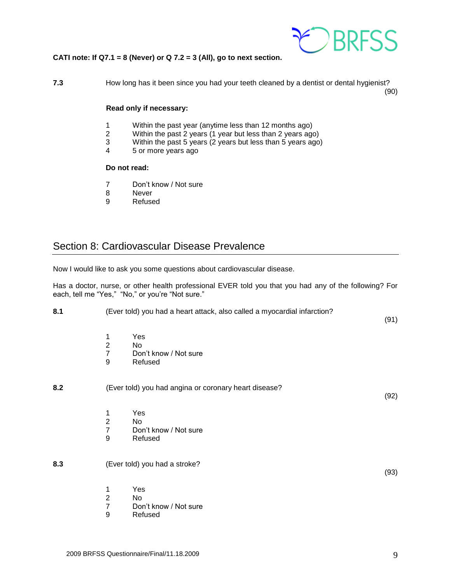

#### **CATI note: If Q7.1 = 8 (Never) or Q 7.2 = 3 (All), go to next section.**

**7.3** How long has it been since you had your teeth cleaned by a dentist or dental hygienist? (90)

**Read only if necessary:**

- 1 Within the past year (anytime less than 12 months ago)
- 2 Within the past 2 years (1 year but less than 2 years ago)
- 3 Within the past 5 years (2 years but less than 5 years ago)<br>4 5 or more years ago
- 4 5 or more years ago

#### **Do not read:**

- 7 Don't know / Not sure
- 8 Never
- 9 Refused

### <span id="page-8-0"></span>Section 8: Cardiovascular Disease Prevalence

Now I would like to ask you some questions about cardiovascular disease.

Has a doctor, nurse, or other health professional EVER told you that you had any of the following? For each, tell me "Yes," "No," or you're "Not sure."

| 8.1 | (Ever told) you had a heart attack, also called a myocardial infarction? |      |
|-----|--------------------------------------------------------------------------|------|
|     |                                                                          | (91) |

- 
- 1 Yes 2 No<br>7 Dor
- Don't know / Not sure
- 9 Refused

#### **8.2** (Ever told) you had angina or coronary heart disease?

- 1 Yes
- 2 No
- 7 Don't know / Not sure
- 9 Refused
- **8.3** (Ever told) you had a stroke?

(93)

(92)

- 1 Yes
- No.
- 7 Don't know / Not sure
- 9 Refused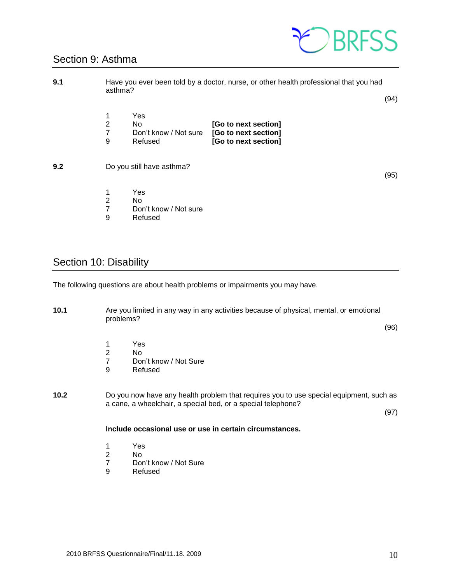### <span id="page-9-0"></span>Section 9: Asthma



| 9.1 | asthma?          |                                                | Have you ever been told by a doctor, nurse, or other health professional that you had | (94) |
|-----|------------------|------------------------------------------------|---------------------------------------------------------------------------------------|------|
|     | 1<br>2<br>7<br>9 | Yes<br>No.<br>Don't know / Not sure<br>Refused | [Go to next section]<br>[Go to next section]<br>[Go to next section]                  |      |
| 9.2 |                  | Do you still have asthma?                      |                                                                                       | (95) |
|     | 1<br>2<br>7      | Yes<br>No<br>Don't know / Not sure             |                                                                                       |      |

9 Refused

### <span id="page-9-1"></span>Section 10: Disability

The following questions are about health problems or impairments you may have.

**10.1** Are you limited in any way in any activities because of physical, mental, or emotional problems?

(96)

- 1 Yes
- 2 No<br>7 Dor
- 7 Don't know / Not Sure<br>9 Refused
- **Refused**
- **10.2** Do you now have any health problem that requires you to use special equipment, such as a cane, a wheelchair, a special bed, or a special telephone?

(97)

#### **Include occasional use or use in certain circumstances.**

- 1 Yes
- 
- 2 No<br>7 Dor 7 Don't know / Not Sure<br>9 Refused
- **Refused**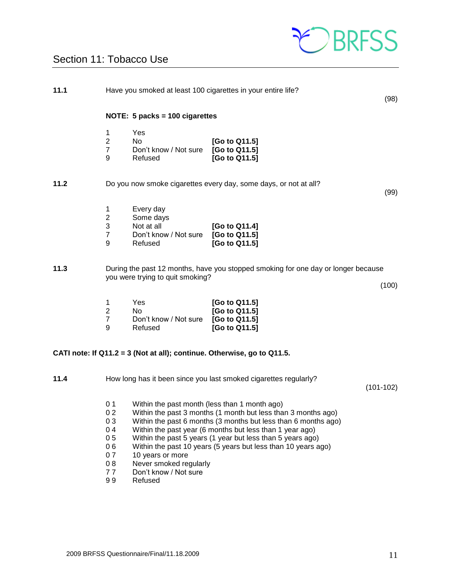

### <span id="page-10-0"></span>Section 11: Tobacco Use

| 11.1 |                                                                           |                                                                                                                      | Have you smoked at least 100 cigarettes in your entire life?                                                                                                                                                                                                                                                               | (98)        |
|------|---------------------------------------------------------------------------|----------------------------------------------------------------------------------------------------------------------|----------------------------------------------------------------------------------------------------------------------------------------------------------------------------------------------------------------------------------------------------------------------------------------------------------------------------|-------------|
|      |                                                                           | NOTE: 5 packs = 100 cigarettes                                                                                       |                                                                                                                                                                                                                                                                                                                            |             |
|      | 1<br>$\overline{2}$<br>$\overline{7}$<br>9                                | Yes<br>No.<br>Don't know / Not sure<br>Refused                                                                       | [Go to Q11.5]<br>[Go to Q11.5]<br>[Go to Q11.5]                                                                                                                                                                                                                                                                            |             |
| 11.2 |                                                                           |                                                                                                                      | Do you now smoke cigarettes every day, some days, or not at all?                                                                                                                                                                                                                                                           | (99)        |
|      | 1<br>$\boldsymbol{2}$<br>$\ensuremath{\mathsf{3}}$<br>$\overline{7}$<br>9 | Every day<br>Some days<br>Not at all<br>Don't know / Not sure<br>Refused                                             | [Go to Q11.4]<br>[Go to Q11.5]<br>[Go to Q11.5]                                                                                                                                                                                                                                                                            |             |
| 11.3 |                                                                           | you were trying to quit smoking?                                                                                     | During the past 12 months, have you stopped smoking for one day or longer because                                                                                                                                                                                                                                          | (100)       |
|      | 1<br>$\boldsymbol{2}$<br>$\overline{7}$<br>9                              | Yes<br><b>No</b><br>Don't know / Not sure<br>Refused                                                                 | [Go to Q11.5]<br>[Go to Q11.5]<br>[Go to Q11.5]<br>[Go to Q11.5]                                                                                                                                                                                                                                                           |             |
|      |                                                                           |                                                                                                                      | CATI note: If Q11.2 = 3 (Not at all); continue. Otherwise, go to Q11.5.                                                                                                                                                                                                                                                    |             |
| 11.4 |                                                                           |                                                                                                                      | How long has it been since you last smoked cigarettes regularly?                                                                                                                                                                                                                                                           | $(101-102)$ |
|      | 0 <sub>1</sub><br>02<br>03<br>04<br>05<br>06<br>07<br>08<br>77            | Within the past month (less than 1 month ago)<br>10 years or more<br>Never smoked regularly<br>Don't know / Not sure | Within the past 3 months (1 month but less than 3 months ago)<br>Within the past 6 months (3 months but less than 6 months ago)<br>Within the past year (6 months but less than 1 year ago)<br>Within the past 5 years (1 year but less than 5 years ago)<br>Within the past 10 years (5 years but less than 10 years ago) |             |

9 9 Refused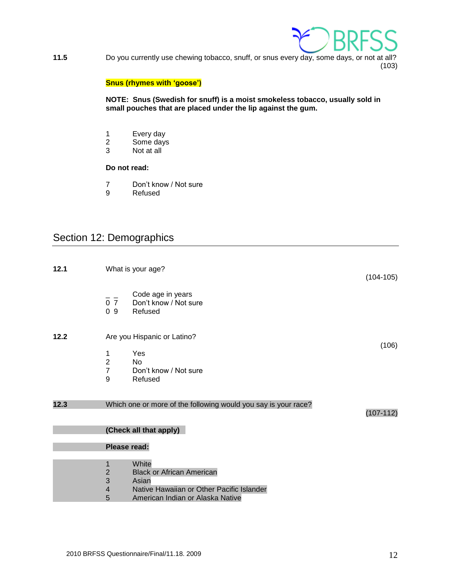

**11.5** Do you currently use chewing tobacco, snuff, or snus every day, some days, or not at all? (103)

#### **Snus (rhymes with 'goose')**

**NOTE: Snus (Swedish for snuff) is a moist smokeless tobacco, usually sold in small pouches that are placed under the lip against the gum.**

- 1 Every day
- 2 Some days<br>3 Not at all
- Not at all

#### **Do not read:**

- 7 Don't know / Not sure
- 9 Refused

### <span id="page-11-0"></span>Section 12: Demographics

| 12.1 |                                  | What is your age?                                              | $(104-105)$ |
|------|----------------------------------|----------------------------------------------------------------|-------------|
|      | 0 <sub>7</sub><br>0 <sub>9</sub> | Code age in years<br>Don't know / Not sure<br>Refused          |             |
| 12.2 |                                  | Are you Hispanic or Latino?                                    |             |
|      |                                  | Yes                                                            | (106)       |
|      | 1<br>$\overline{2}$              | <b>No</b>                                                      |             |
|      | $\overline{7}$                   | Don't know / Not sure                                          |             |
|      | 9                                | Refused                                                        |             |
|      |                                  |                                                                |             |
| 12.3 |                                  | Which one or more of the following would you say is your race? | $(107-112)$ |
|      |                                  | (Check all that apply)                                         |             |
|      | Please read:                     |                                                                |             |
|      | 1                                | White                                                          |             |
|      | $\overline{2}$                   | <b>Black or African American</b>                               |             |
|      | 3                                | Asian                                                          |             |
|      | $\overline{4}$                   | Native Hawaiian or Other Pacific Islander                      |             |
|      | 5                                | American Indian or Alaska Native                               |             |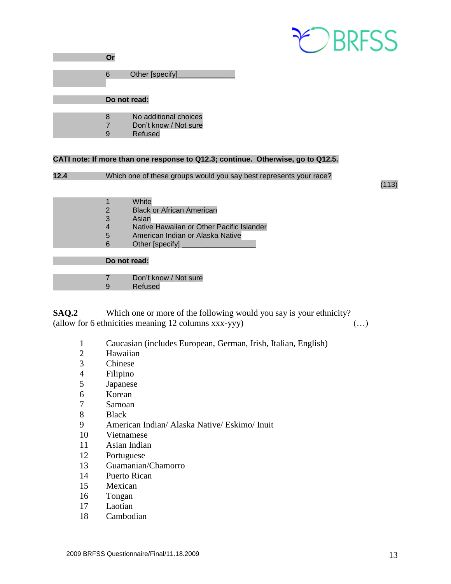

|  | Other [specify]_ |
|--|------------------|
|  |                  |

**Do not read:**

| 8 | No additional choices |  |
|---|-----------------------|--|
|   |                       |  |

- Don't know / Not sure
	- Refused

#### **CATI note: If more than one response to Q12.3; continue. Otherwise, go to Q12.5.**

```
12.4 Which one of these groups would you say best represents your race?
```
(113)

|   | White                                     |
|---|-------------------------------------------|
|   | <b>Black or African American</b>          |
| З | Asian                                     |
|   | Native Hawaiian or Other Pacific Islander |

- American Indian or Alaska Native
- 6 Other [specify]

#### **Do not read:**

| Don't know / Not sure |
|-----------------------|
|                       |

Refused

**SAQ.2** Which one or more of the following would you say is your ethnicity? (allow for 6 ethnicities meaning 12 columns xxx-yyy) (…)

- Caucasian (includes European, German, Irish, Italian, English)
- Hawaiian
- Chinese
- Filipino
- Japanese
- Korean
- Samoan
- Black
- American Indian/ Alaska Native/ Eskimo/ Inuit
- Vietnamese
- Asian Indian
- Portuguese
- Guamanian/Chamorro
- Puerto Rican
- Mexican
- Tongan
- Laotian
- Cambodian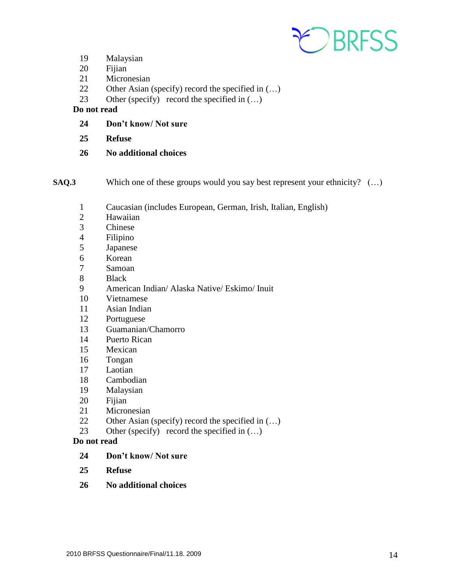

- Malaysian
- Fijian
- Micronesian
- Other Asian (specify) record the specified in (…)
- 23 Other (specify) record the specified in  $(...)$

#### **Do not read**

- **Don't know/ Not sure**
- **Refuse**
- **No additional choices**

**SAQ.3** Which one of these groups would you say best represent your ethnicity? (…)

- Caucasian (includes European, German, Irish, Italian, English)
- Hawaiian
- Chinese
- Filipino
- Japanese
- Korean
- Samoan
- Black
- American Indian/ Alaska Native/ Eskimo/ Inuit
- Vietnamese
- Asian Indian
- Portuguese
- Guamanian/Chamorro
- Puerto Rican
- Mexican
- Tongan
- Laotian
- Cambodian
- Malaysian
- Fijian
- Micronesian
- Other Asian (specify) record the specified in (…)
- 23 Other (specify) record the specified in  $(...)$
- **Do not read** 
	- **Don't know/ Not sure**
	- **Refuse**
	- **No additional choices**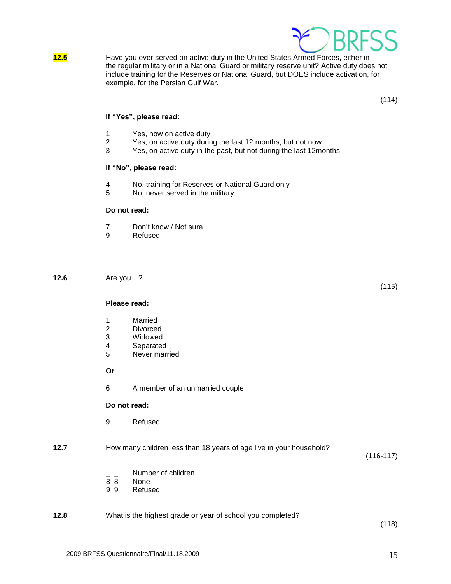

**12.5** Have you ever served on active duty in the United States Armed Forces, either in the regular military or in a National Guard or military reserve unit? Active duty does not include training for the Reserves or National Guard, but DOES include activation, for example, for the Persian Gulf War.

(114)

(115)

#### **If "Yes", please read:**

- 1 Yes, now on active duty
- 2 Yes, on active duty during the last 12 months, but not now<br>3 Yes, on active duty in the past, but not during the last 12m
- Yes, on active duty in the past, but not during the last 12months

#### **If "No", please read:**

- 4 No, training for Reserves or National Guard only
- 5 No, never served in the military

#### **Do not read:**

- 7 Don't know / Not sure
- 9 Refused

**12.6** Are you…?

**Please read:**

- 1 Married
- 2 Divorced
- 3 Widowed
- 4 Separated
- 5 Never married

**Or**

6 A member of an unmarried couple

#### **Do not read:**

9 Refused

**12.7** How many children less than 18 years of age live in your household?

(116-117)

- $\frac{1}{8}$   $\frac{1}{8}$  Number of children
- None
- 9 9 Refused

### **12.8** What is the highest grade or year of school you completed?

(118)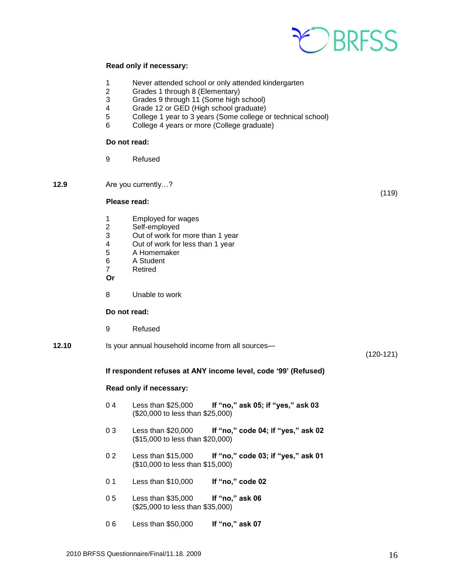

#### **Read only if necessary:**

- 1 Never attended school or only attended kindergarten
- 2 Grades 1 through 8 (Elementary)
- 3 Grades 9 through 11 (Some high school)
- 4 Grade 12 or GED (High school graduate)
- 5 College 1 year to 3 years (Some college or technical school)
- 6 College 4 years or more (College graduate)

#### **Do not read:**

- 9 Refused
- **12.9** Are you currently…?

#### **Please read:**

- 1 Employed for wages<br>2 Self-employed
- 2 Self-employed<br>3 Out of work for
- Out of work for more than 1 year
- 4 Out of work for less than 1 year<br>5 A Homemaker
- 5 A Homemaker
- 6 A Student
- 7 Retired
- **Or**
- 8 Unable to work

#### **Do not read:**

- 9 Refused
- **12.10** Is your annual household income from all sources—

(120-121)

(119)

#### **If respondent refuses at ANY income level, code '99' (Refused)**

#### **Read only if necessary:**

- 0 4 Less than \$25,000 **If "no," ask 05; if "yes," ask 03** (\$20,000 to less than \$25,000)
- 0 3 Less than \$20,000 **If "no," code 04; if "yes," ask 02** (\$15,000 to less than \$20,000)
- 0 2 Less than \$15,000 **If "no," code 03; if "yes," ask 01** (\$10,000 to less than \$15,000)
- 0 1 Less than \$10,000 **If "no," code 02**
- 0 5 Less than \$35,000 **If "no," ask 06** (\$25,000 to less than \$35,000)
- 0 6 Less than \$50,000 **If "no," ask 07**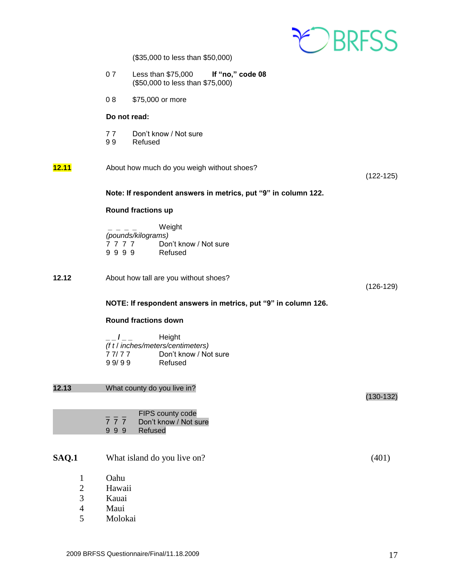

(\$35,000 to less than \$50,000)

| 07 | Less than $$75,000$              | If "no," code 08 |
|----|----------------------------------|------------------|
|    | (\$50,000 to less than \$75,000) |                  |

0 8 \$75,000 or more

#### **Do not read:**

- 7 7 Don't know / Not sure
- 9 9 Refused

| <u>12.11</u><br>About how much do you weigh without shoes? |  |
|------------------------------------------------------------|--|
|------------------------------------------------------------|--|

(122-125)

#### **Note: If respondent answers in metrics, put "9" in column 122.**

#### **Round fractions up**

**\_ \_ \_ \_** Weight *(pounds/kilograms)* 7 7 7 7 7 Don't know / Not sure<br>9 9 9 9 Refused 9 9 9 9

**12.12** About how tall are you without shoes?

(126-129)

(130-132)

#### **NOTE: If respondent answers in metrics, put "9" in column 126.**

#### **Round fractions down**

|          | Height                            |
|----------|-----------------------------------|
|          | (f t / inches/meters/centimeters) |
| 7 7/ 7 7 | Don't know / Not sure             |
| 99/99    | Refused                           |

**12.13** What county do you live in?

|     | FIPS county code      |
|-----|-----------------------|
| 777 | Don't know / Not sure |
| 999 | Refused               |

#### **SAQ.1** What island do you live on? (401)

- 1 Oahu
- 2 Hawaii
- 3 Kauai
- 4 Maui
- 5 Molokai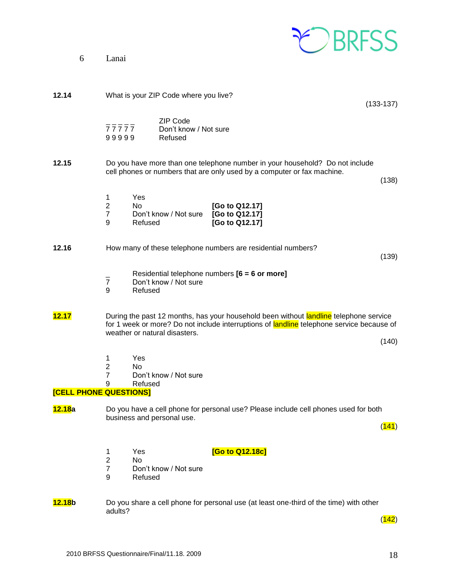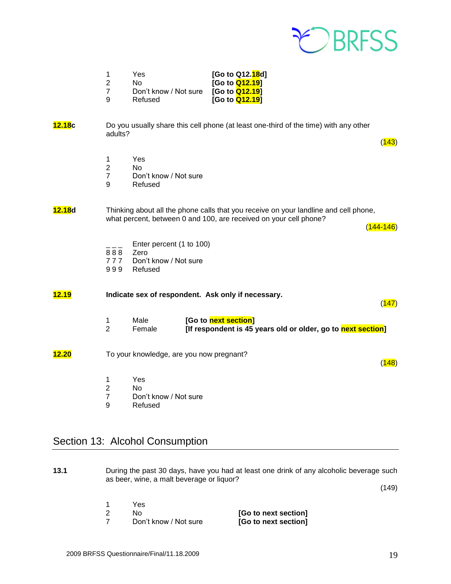

| -1            | Yes                   | [Go to Q12.18d]        |
|---------------|-----------------------|------------------------|
| $\mathcal{P}$ | No.                   | [Go to <b>Q12.19</b> ] |
| -7            | Don't know / Not sure | [Go to <b>Q12.19</b> ] |
| -9            | Refused               | [Go to <b>Q12.19</b> ] |

#### **12.18c** Do you usually share this cell phone (at least one-third of the time) with any other adults?

- 1 Yes
- 2 No
- 7 Don't know / Not sure<br>9 Refused
- **Refused**

#### **12.18d** Thinking about all the phone calls that you receive on your landline and cell phone, what percent, between 0 and 100, are received on your cell phone?

 $(144 - 146)$ 

 $(147)$ 

 $(148)$ 

 $(143)$ 

- Enter percent (1 to 100)
- 888 Zero
- 7 7 7 Don't know / Not sure
- 9 9 9 Refused

### **12.19 Indicate sex of respondent. Ask only if necessary.**

1 Male **[Go to <mark>next section</mark>]**<br>2 Female **IIf respondent is 45** Female **[If respondent is 45 years old or older, go to next section]** 

#### **12.20** To your knowledge, are you now pregnant?

- 1 Yes
- 2 No
- 7 Don't know / Not sure
- 9 Refused

### <span id="page-18-0"></span>Section 13: Alcohol Consumption

**13.1** During the past 30 days, have you had at least one drink of any alcoholic beverage such as beer, wine, a malt beverage or liquor?

(149)

1 Yes 2 No **[Go to next section]** 7 Don't know / Not sure **[Go to next section]**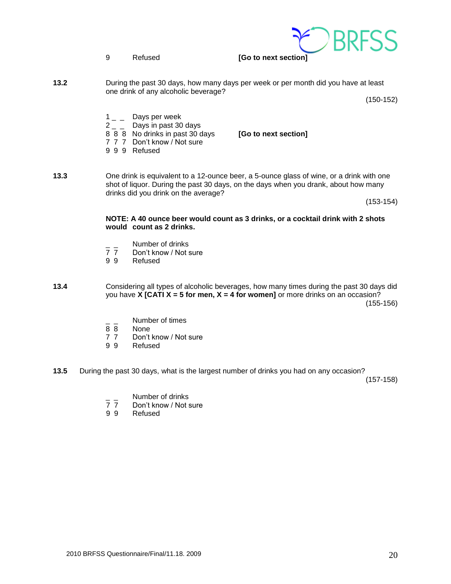9 Refused **[Go to next section]**

**13.2** During the past 30 days, how many days per week or per month did you have at least one drink of any alcoholic beverage?

(150-152)

- $1_{-}$  Days per week
- $2 -$  Days in past 30 days
- 8 8 8 No drinks in past 30 days **[Go to next section]**
- 7 7 7 Don't know / Not sure
- 9 9 9 Refused
- **13.3** One drink is equivalent to a 12-ounce beer, a 5-ounce glass of wine, or a drink with one shot of liquor. During the past 30 days, on the days when you drank, about how many drinks did you drink on the average?

(153-154)

**NOTE: A 40 ounce beer would count as 3 drinks, or a cocktail drink with 2 shots would count as 2 drinks.**

- <sup>-</sup> \_ Number of drinks<br>7 7 Don't know / Not s
- Don't know / Not sure
- 9 9 Refused
- **13.4** Considering all types of alcoholic beverages, how many times during the past 30 days did you have **X [CATI X = 5 for men, X = 4 for women]** or more drinks on an occasion? (155-156)
	- $\frac{1}{8}$   $\frac{1}{8}$  Number of times
	- None
	- 7 7 Don't know / Not sure
	- 9 9 Refused
- **13.5** During the past 30 days, what is the largest number of drinks you had on any occasion?

(157-158)

- $\frac{1}{7}$   $\frac{1}{7}$  Number of drinks
- 7 7 Don't know / Not sure<br>9 9 Refused
- **Refused**

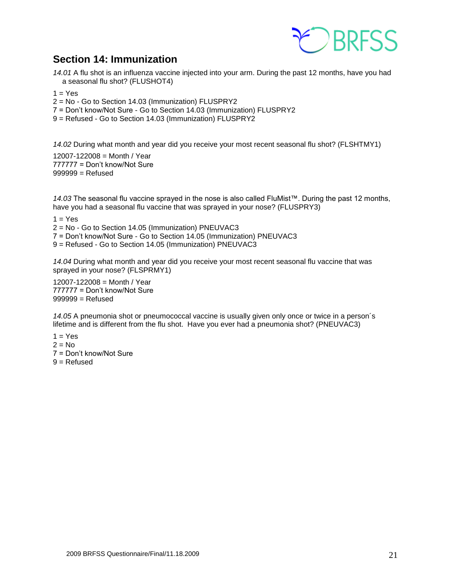

### **Section 14: Immunization**

<span id="page-20-0"></span>*14.01* A flu shot is an influenza vaccine injected into your arm. During the past 12 months, have you had a seasonal flu shot? (FLUSHOT4)

 $1 = Yes$ 

2 = No - Go to Section 14.03 (Immunization) FLUSPRY2

7 = Don't know/Not Sure - Go to Section 14.03 (Immunization) FLUSPRY2

9 = Refused - Go to Section 14.03 (Immunization) FLUSPRY2

*14.02* During what month and year did you receive your most recent seasonal flu shot? (FLSHTMY1)

12007-122008 = Month / Year 777777 = Don't know/Not Sure  $999999 =$ Refused

*14.03* The seasonal flu vaccine sprayed in the nose is also called FluMist™. During the past 12 months, have you had a seasonal flu vaccine that was sprayed in your nose? (FLUSPRY3)

 $1 = Yes$ 

2 = No - Go to Section 14.05 (Immunization) PNEUVAC3

7 = Don't know/Not Sure - Go to Section 14.05 (Immunization) PNEUVAC3

9 = Refused - Go to Section 14.05 (Immunization) PNEUVAC3

*14.04* During what month and year did you receive your most recent seasonal flu vaccine that was sprayed in your nose? (FLSPRMY1)

12007-122008 = Month / Year 777777 = Don't know/Not Sure  $999999 =$ Refused

*14.05* A pneumonia shot or pneumococcal vaccine is usually given only once or twice in a person´s lifetime and is different from the flu shot. Have you ever had a pneumonia shot? (PNEUVAC3)

 $1 = Yes$  $2 = No$ 7 = Don't know/Not Sure  $9 =$  Refused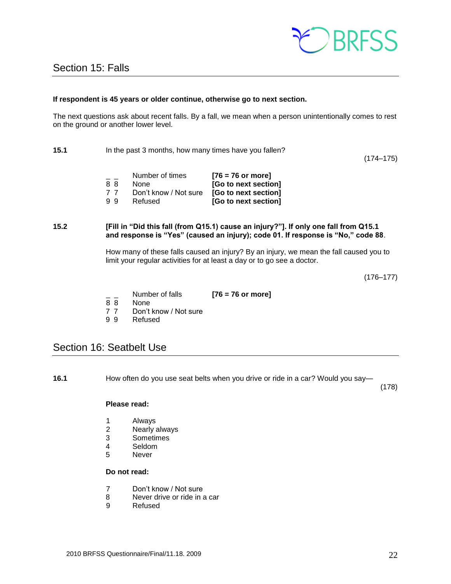

#### <span id="page-21-0"></span>**If respondent is 45 years or older continue, otherwise go to next section.**

The next questions ask about recent falls. By a fall, we mean when a person unintentionally comes to rest on the ground or another lower level.

**15.1** In the past 3 months, how many times have you fallen?

(174–175)

| - - | Number of times       | $[76 = 76$ or more]  |
|-----|-----------------------|----------------------|
| 88  | <b>None</b>           | [Go to next section] |
| 77  | Don't know / Not sure | [Go to next section] |
| 99  | Refused               | [Go to next section] |

#### **15.2 [Fill in "Did this fall (from Q15.1) cause an injury?"]. If only one fall from Q15.1 and response is "Yes" (caused an injury); code 01. If response is "No," code 88**.

How many of these falls caused an injury? By an injury, we mean the fall caused you to limit your regular activities for at least a day or to go see a doctor.

(176–177)

- \_ \_ Number of falls **[76 = 76 or more]**
- None
- 
- 7 7 Don't know / Not sure
- 9 9 Refused

### <span id="page-21-1"></span>Section 16: Seatbelt Use

**16.1** How often do you use seat belts when you drive or ride in a car? Would you say—

(178)

#### **Please read:**

- 1 Always
- 2 Nearly always<br>3 Sometimes
- **Sometimes**
- 4 Seldom<br>5 Never
- **Never**

#### **Do not read:**

- 7 Don't know / Not sure
- 8 Never drive or ride in a car
- 9 Refused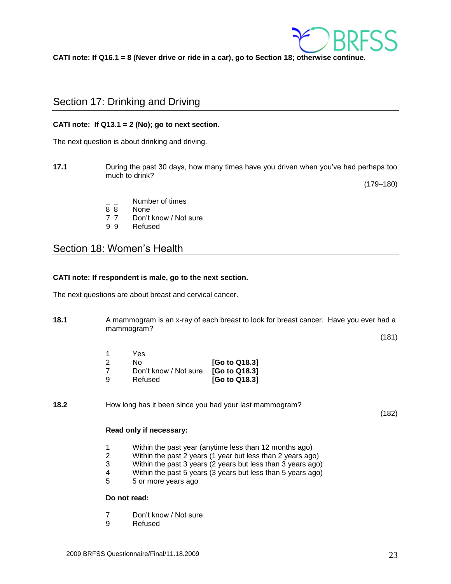

**CATI note: If Q16.1 = 8 (Never drive or ride in a car), go to Section 18; otherwise continue.**

### <span id="page-22-0"></span>Section 17: Drinking and Driving

#### **CATI note: If Q13.1 = 2 (No); go to next section.**

The next question is about drinking and driving.

**17.1** During the past 30 days, how many times have you driven when you've had perhaps too much to drink?

(179–180)

- $\frac{1}{8}$   $\frac{1}{8}$  Number of times
- None
- 7 7 Don't know / Not sure
- 9 9 Refused

### <span id="page-22-1"></span>Section 18: Women's Health

#### **CATI note: If respondent is male, go to the next section.**

The next questions are about breast and cervical cancer.

**18.1** A mammogram is an x-ray of each breast to look for breast cancer. Have you ever had a mammogram?

(181)

| 1  | Yes                   |               |
|----|-----------------------|---------------|
| -2 | N٥                    | [Go to Q18.3] |
| -7 | Don't know / Not sure | [Go to Q18.3] |
| 9  | Refused               | [Go to Q18.3] |

**18.2** How long has it been since you had your last mammogram?

(182)

#### **Read only if necessary:**

- 1 Within the past year (anytime less than 12 months ago)
- 2 Within the past 2 years (1 year but less than 2 years ago)
- 3 Within the past 3 years (2 years but less than 3 years ago)
- 4 Within the past 5 years (3 years but less than 5 years ago)
- 5 5 or more years ago

#### **Do not read:**

- 7 Don't know / Not sure
- 9 Refused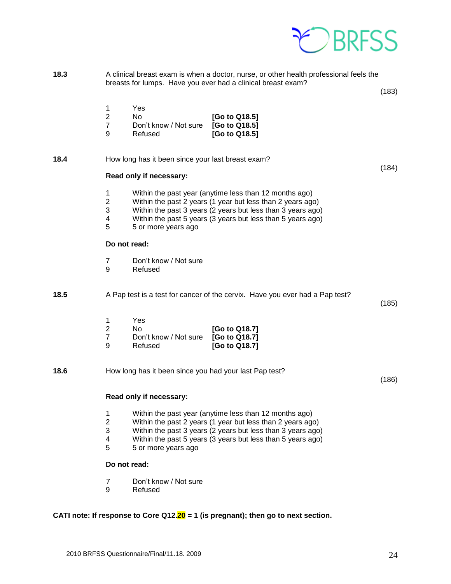

**18.3** A clinical breast exam is when a doctor, nurse, or other health professional feels the breasts for lumps. Have you ever had a clinical breast exam?

(183)

(184)

|               | Yes                   |               |
|---------------|-----------------------|---------------|
| $\mathcal{P}$ | N٥                    | [Go to Q18.5] |
| -7            | Don't know / Not sure | [Go to Q18.5] |
| a             | Refused               | [Go to Q18.5] |

**18.4** How long has it been since your last breast exam?

#### **Read only if necessary:**

- 1 Within the past year (anytime less than 12 months ago)
- 2 Within the past 2 years (1 year but less than 2 years ago)
- 3 Within the past 3 years (2 years but less than 3 years ago)
- 4 Within the past 5 years (3 years but less than 5 years ago)<br>5 5 or more vears ago
- 5 5 or more years ago

#### **Do not read:**

- 7 Don't know / Not sure
- 9 Refused
- **18.5** A Pap test is a test for cancer of the cervix. Have you ever had a Pap test?

(185)

|     | Yes                   |               |
|-----|-----------------------|---------------|
| - 2 | Nο                    | [Go to Q18.7] |
|     | Don't know / Not sure | [Go to Q18.7] |
| -9  | Refused               | [Go to Q18.7] |

**18.6** How long has it been since you had your last Pap test?

(186)

#### **Read only if necessary:**

- 1 Within the past year (anytime less than 12 months ago)
- 2 Within the past 2 years (1 year but less than 2 years ago)
- 3 Within the past 3 years (2 years but less than 3 years ago)
- 4 Within the past 5 years (3 years but less than 5 years ago)
- 5 5 or more years ago

#### **Do not read:**

- 7 Don't know / Not sure
- 9 Refused

**CATI note: If response to Core Q12.20 = 1 (is pregnant); then go to next section.**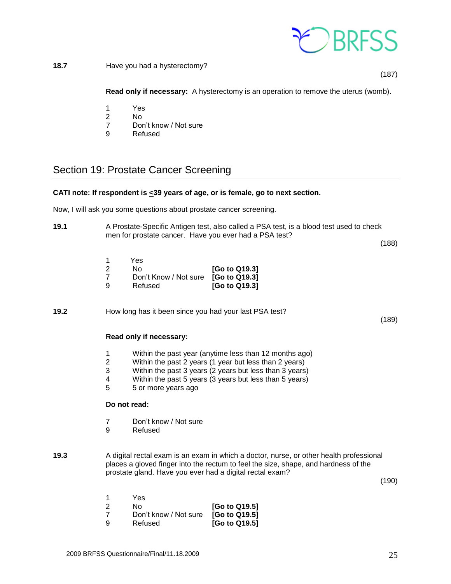

**18.7** Have you had a hysterectomy?

(187)

**Read only if necessary:** A hysterectomy is an operation to remove the uterus (womb).

- 1 Yes
- 2 No
- 7 Don't know / Not sure<br>9 Refused
- **Refused**

### <span id="page-24-0"></span>Section 19: Prostate Cancer Screening

#### **CATI note: If respondent is <39 years of age, or is female, go to next section.**

Now, I will ask you some questions about prostate cancer screening.

**19.1** A Prostate-Specific Antigen test, also called a PSA test, is a blood test used to check men for prostate cancer. Have you ever had a PSA test?

(188)

(189)

- 1 Yes
- 2 No **[Go to Q19.3]** 7 Don't Know / Not sure **[Go to Q19.3]** 9 Refused **[Go to Q19.3]**

**19.2** How long has it been since you had your last PSA test?

#### **Read only if necessary:**

- 1 Within the past year (anytime less than 12 months ago)<br>2 Within the past 2 years (1 year but less than 2 years)
- 2 Within the past 2 years (1 year but less than 2 years)
- 3 Within the past 3 years (2 years but less than 3 years)
- 4 Within the past 5 years (3 years but less than 5 years)
- 5 5 or more years ago

#### **Do not read:**

- 7 Don't know / Not sure
- 9 Refused
- **19.3** A digital rectal exam is an exam in which a doctor, nurse, or other health professional places a gloved finger into the rectum to feel the size, shape, and hardness of the prostate gland. Have you ever had a digital rectal exam?

(190)

|     | Yes                   |               |
|-----|-----------------------|---------------|
| - 2 | N٥                    | [Go to Q19.5] |
|     | Don't know / Not sure | [Go to Q19.5] |
| 9   | Refused               | [Go to Q19.5] |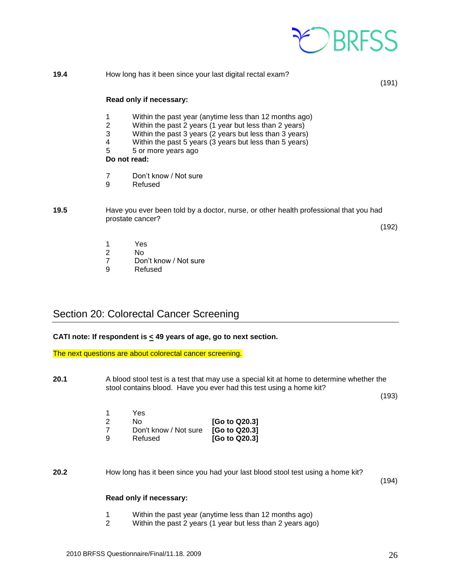

| 19.4 |                               | How long has it been since your last digital rectal exam?                                                                                                                                                                                                                     | (191) |
|------|-------------------------------|-------------------------------------------------------------------------------------------------------------------------------------------------------------------------------------------------------------------------------------------------------------------------------|-------|
|      |                               | Read only if necessary:                                                                                                                                                                                                                                                       |       |
|      | $\overline{2}$<br>3<br>4<br>5 | Within the past year (anytime less than 12 months ago)<br>Within the past 2 years (1 year but less than 2 years)<br>Within the past 3 years (2 years but less than 3 years)<br>Within the past 5 years (3 years but less than 5 years)<br>5 or more years ago<br>Do not read: |       |
|      | 9                             | Don't know / Not sure<br>Refused                                                                                                                                                                                                                                              |       |

#### **19.5** Have you ever been told by a doctor, nurse, or other health professional that you had prostate cancer?

(192)

- 1 Yes<br>2 No
- No
- 7 Don't know / Not sure<br>9 Refused
- **Refused**

### <span id="page-25-0"></span>Section 20: Colorectal Cancer Screening

#### **CATI note: If respondent is < 49 years of age, go to next section.**

The next questions are about colorectal cancer screening.

**20.1** A blood stool test is a test that may use a special kit at home to determine whether the stool contains blood. Have you ever had this test using a home kit?

(193)

|    | Yes                   |               |
|----|-----------------------|---------------|
| -2 | N٥                    | [Go to Q20.3] |
|    | Don't know / Not sure | [Go to Q20.3] |
| -9 | Refused               | [Go to Q20.3] |

**20.2** How long has it been since you had your last blood stool test using a home kit?

(194)

#### **Read only if necessary:**

- 1 Within the past year (anytime less than 12 months ago)
- 2 Within the past 2 years (1 year but less than 2 years ago)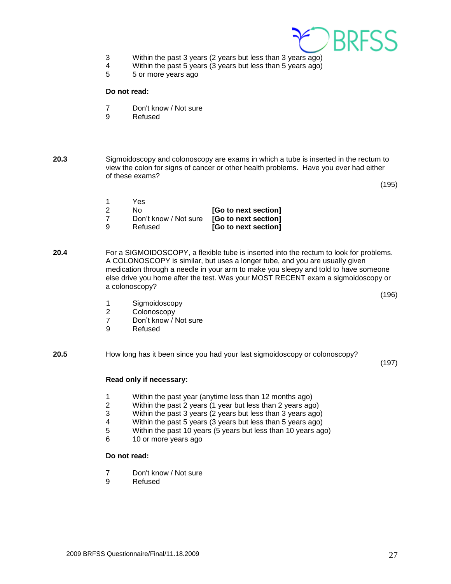

- 3 Within the past 3 years (2 years but less than 3 years ago)
- 4 Within the past 5 years (3 years but less than 5 years ago)
- 5 5 or more years ago

#### **Do not read:**

- 7 Don't know / Not sure
- 9 Refused
- **20.3** Sigmoidoscopy and colonoscopy are exams in which a tube is inserted in the rectum to view the colon for signs of cancer or other health problems. Have you ever had either of these exams?

(195)

|     | Yes                                        |                      |
|-----|--------------------------------------------|----------------------|
| - 2 | N٥                                         | [Go to next section] |
|     | Don't know / Not sure [Go to next section] |                      |
| -9  | Refused                                    | [Go to next section] |

- **20.4** For a SIGMOIDOSCOPY, a flexible tube is inserted into the rectum to look for problems. A COLONOSCOPY is similar, but uses a longer tube, and you are usually given medication through a needle in your arm to make you sleepy and told to have someone else drive you home after the test. Was your MOST RECENT exam a sigmoidoscopy or a colonoscopy?
	- 1 Sigmoidoscopy
	- 2 Colonoscopy
	- 7 Don't know / Not sure<br>9 Refused
	- **Refused**
- **20.5** How long has it been since you had your last sigmoidoscopy or colonoscopy?

(197)

(196)

#### **Read only if necessary:**

- 1 Within the past year (anytime less than 12 months ago)
- 2 Within the past 2 years (1 year but less than 2 years ago)
- 3 Within the past 3 years (2 years but less than 3 years ago)
- 4 Within the past 5 years (3 years but less than 5 years ago)
- 5 Within the past 10 years (5 years but less than 10 years ago)
- 6 10 or more years ago

#### **Do not read:**

- 7 Don't know / Not sure
- 9 Refused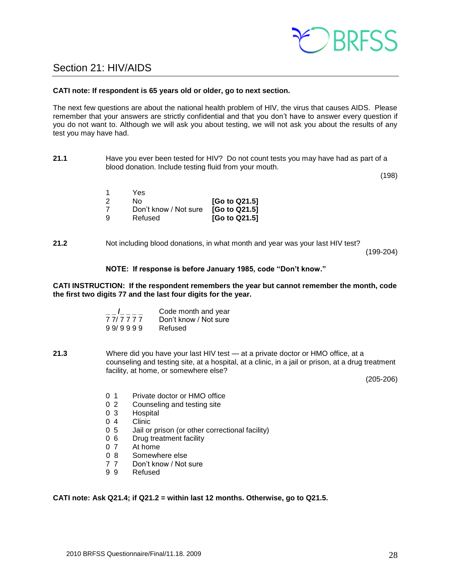

### <span id="page-27-0"></span>Section 21: HIV/AIDS

#### **CATI note: If respondent is 65 years old or older, go to next section.**

The next few questions are about the national health problem of HIV, the virus that causes AIDS. Please remember that your answers are strictly confidential and that you don't have to answer every question if you do not want to. Although we will ask you about testing, we will not ask you about the results of any test you may have had.

**21.1** Have you ever been tested for HIV? Do not count tests you may have had as part of a blood donation. Include testing fluid from your mouth.

(198)

|    | Yes.                  |               |
|----|-----------------------|---------------|
| -2 | No.                   | [Go to Q21.5] |
|    | Don't know / Not sure | [Go to Q21.5] |
| -9 | Refused               | [Go to Q21.5] |

**21.2** Not including blood donations, in what month and year was your last HIV test?

(199-204)

#### **NOTE: If response is before January 1985, code "Don't know."**

#### **CATI INSTRUCTION: If the respondent remembers the year but cannot remember the month, code the first two digits 77 and the last four digits for the year.**

| $\mathbf{I}$ and $\mathbf{I}$ | Code month and year   |
|-------------------------------|-----------------------|
| 7 7 7 7 7 7                   | Don't know / Not sure |
| 99/9999                       | Refused               |

**21.3** Where did you have your last HIV test — at a private doctor or HMO office, at a counseling and testing site, at a hospital, at a clinic, in a jail or prison, at a drug treatment facility, at home, or somewhere else?

(205-206)

- 0 1 Private doctor or HMO office
- 0 2 Counseling and testing site
- 0 3 Hospital
- 0 4 Clinic
- 0 5 Jail or prison (or other correctional facility)
- 0 6 Drug treatment facility<br>0 7 At home
- At home
- 0 8 Somewhere else
- 7 7 Don't know / Not sure
- 9 9 Refused

**CATI note: Ask Q21.4; if Q21.2 = within last 12 months. Otherwise, go to Q21.5.**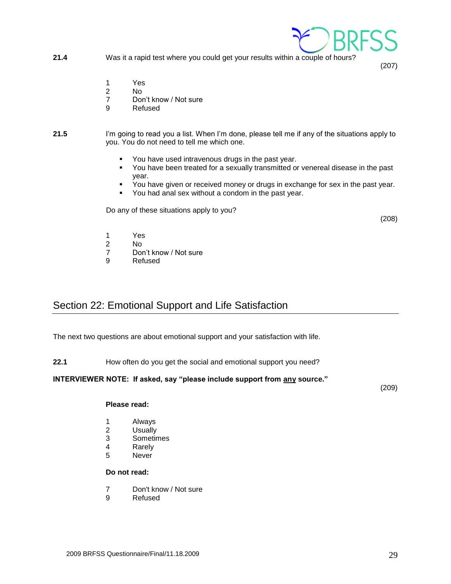- - 2009 BRFSS Questionnaire/Final/11.18.2009 29
- 

### **Do not read:**

- 7 Don't know / Not sure
- 9 Refused

**Please read:**

1 Always<br>2 Usually **Usually** 3 Sometimes 4 Rarely<br>5 Never **Never** 

### The next two questions are about emotional support and your satisfaction with life.

**22.1** How often do you get the social and emotional support you need?

### **INTERVIEWER NOTE: If asked, say "please include support from any source."**

(209)

(208)

(207)

- **21.4** Was it a rapid test where you could get your results within a couple of hours?
	- 1 Yes

1 Yes 2 No<br>7 Dor

9 Refused

- 2 No
- 7 Don't know / Not sure
- 9 Refused
- **21.5** I'm going to read you a list. When I'm done, please tell me if any of the situations apply to you. You do not need to tell me which one.
	- You have used intravenous drugs in the past year. ▪ You have been treated for a sexually transmitted or venereal disease in the past
	- year.
	- You have given or received money or drugs in exchange for sex in the past year.
	- You had anal sex without a condom in the past year.
	- Do any of these situations apply to you?

Don't know / Not sure

<span id="page-28-0"></span>Section 22: Emotional Support and Life Satisfaction

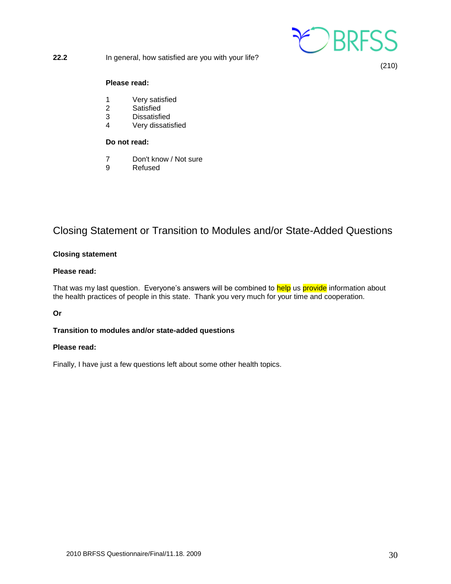

(210)

#### **Please read:**

- 1 Very satisfied
- 2 Satisfied
- 3 Dissatisfied
- 4 Very dissatisfied

#### **Do not read:**

- 7 Don't know / Not sure
- 9 Refused

### Closing Statement or Transition to Modules and/or State-Added Questions

#### **Closing statement**

#### **Please read:**

That was my last question. Everyone's answers will be combined to help us provide information about the health practices of people in this state. Thank you very much for your time and cooperation.

#### **Or**

#### **Transition to modules and/or state-added questions**

#### **Please read:**

Finally, I have just a few questions left about some other health topics.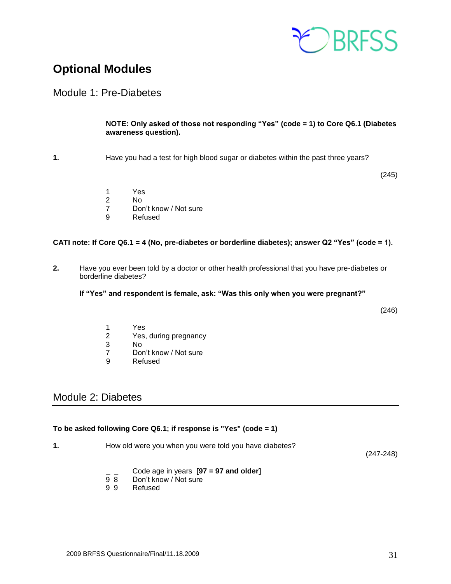

### <span id="page-30-0"></span>**Optional Modules**

### <span id="page-30-1"></span>Module 1: Pre-Diabetes

#### **NOTE: Only asked of those not responding "Yes" (code = 1) to Core Q6.1 (Diabetes awareness question).**

**1.** Have you had a test for high blood sugar or diabetes within the past three years?

(245)

- 1 Yes
- 2 No
- 7 Don't know / Not sure
- 9 Refused

#### **CATI note: If Core Q6.1 = 4 (No, pre-diabetes or borderline diabetes); answer Q2 "Yes" (code = 1).**

**2.** Have you ever been told by a doctor or other health professional that you have pre-diabetes or borderline diabetes?

**If "Yes" and respondent is female, ask: "Was this only when you were pregnant?"** 

(246)

- 1 Yes
- 2 Yes, during pregnancy<br>3 No
- No.
- 7 Don't know / Not sure<br>9 Refused
- **Refused**

### <span id="page-30-2"></span>Module 2: Diabetes

#### **To be asked following Core Q6.1; if response is "Yes" (code = 1)**

**1.** How old were you when you were told you have diabetes?

(247-248)

- \_ \_ Code age in years **[97 = 97 and older]**
- 9 8 Don't know / Not sure<br>9 9 Refused
- **Refused**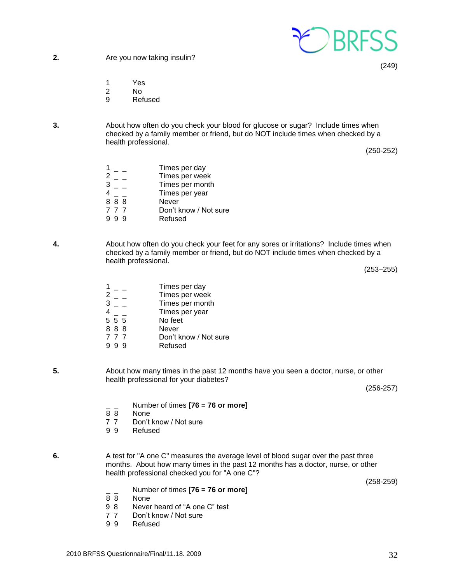

**2.** Are you now taking insulin?

(249)

- 1 Yes
- 2 No
- 9 Refused
- **3.** About how often do you check your blood for glucose or sugar? Include times when checked by a family member or friend, but do NOT include times when checked by a health professional.

(250-252)

|     | Times per day         |
|-----|-----------------------|
| 2   | Times per week        |
| 3   | Times per month       |
|     | Times per year        |
| 888 | Never                 |
| 777 | Don't know / Not sure |
| 99  | Refused               |

**4.** About how often do you check your feet for any sores or irritations? Include times when checked by a family member or friend, but do NOT include times when checked by a health professional.

(253–255)

- $1 -$  Times per day 2 \_ \_ Times per week<br>3 Times per month  $\overline{a}$   $\overline{b}$   $\overline{c}$   $\overline{d}$   $\overline{d}$   $\overline{d}$   $\overline{d}$   $\overline{d}$   $\overline{d}$   $\overline{d}$   $\overline{d}$   $\overline{d}$   $\overline{d}$   $\overline{d}$   $\overline{d}$   $\overline{d}$   $\overline{d}$   $\overline{d}$   $\overline{d}$   $\overline{d}$   $\overline{d}$   $\overline{d}$   $\overline{d}$   $\overline{d}$   $\overline{$  $4 - 7$  Times per year<br>5 5 5 No feet  $\frac{4}{5}$   $\frac{-}{5}$ 8 8 8 Never 7 7 7 Don't know / Not sure 9 9 9 Refused
- **5.** About how many times in the past 12 months have you seen a doctor, nurse, or other health professional for your diabetes?

(256-257)

- \_ \_ Number of times **[76 = 76 or more]**
- None
- 7 7 Don't know / Not sure
- 9 9 Refused
- **6.** A test for "A one C" measures the average level of blood sugar over the past three months. About how many times in the past 12 months has a doctor, nurse, or other health professional checked you for "A one C"?

(258-259)

- \_ \_ Number of times **[76 = 76 or more]**
- 8 8 None<br>9 8 Never
- Never heard of "A one C" test
- 7 7 Don't know / Not sure
- 9 9 Refused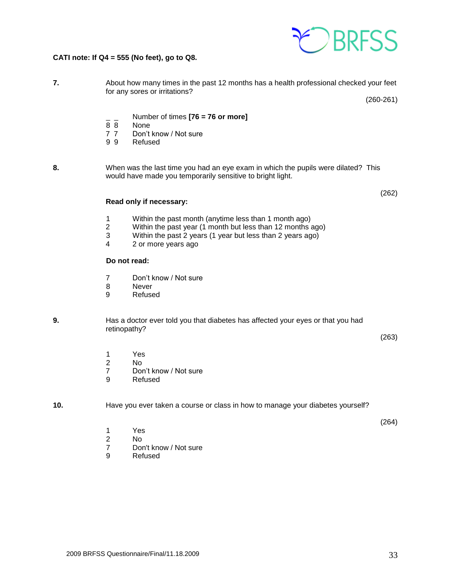

#### **CATI note: If Q4 = 555 (No feet), go to Q8.**

| About how many times in the past 12 months has a health professional checked your feet |             |
|----------------------------------------------------------------------------------------|-------------|
| for any sores or irritations?                                                          |             |
|                                                                                        | $(260-261)$ |

- \_ \_ Number of times **[76 = 76 or more]**
- 8 8 None<br>7 7 Don't
- Don't know / Not sure
- 9 9 Refused
- **8.** When was the last time you had an eye exam in which the pupils were dilated? This would have made you temporarily sensitive to bright light.

#### **Read only if necessary:**

- 1 Within the past month (anytime less than 1 month ago)<br>2 Within the past year (1 month but less than 12 months
- 2 Within the past year (1 month but less than 12 months ago)<br>3 Within the past 2 years (1 year but less than 2 years ago)
- Within the past 2 years (1 year but less than 2 years ago)
- 4 2 or more years ago

#### **Do not read:**

- 7 Don't know / Not sure
- 8 Never
- 9 Refused

#### **9.** Has a doctor ever told you that diabetes has affected your eyes or that you had retinopathy?

(263)

(264)

(262)

- 1 Yes
- 2 No
- 7 Don't know / Not sure
- 9 Refused

#### **10.** Have you ever taken a course or class in how to manage your diabetes yourself?

- 1 Yes
- 2 No<br>7 Dor
- Don't know / Not sure
- 9 Refused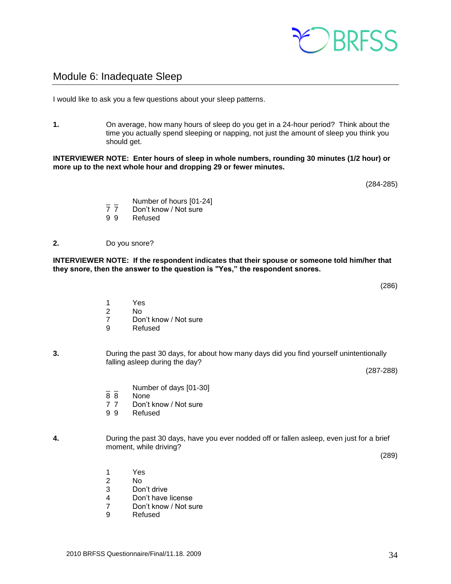### <span id="page-33-0"></span>Module 6: Inadequate Sleep

I would like to ask you a few questions about your sleep patterns.

**1.** On average, how many hours of sleep do you get in a 24-hour period? Think about the time you actually spend sleeping or napping, not just the amount of sleep you think you should get.

**INTERVIEWER NOTE: Enter hours of sleep in whole numbers, rounding 30 minutes (1/2 hour) or more up to the next whole hour and dropping 29 or fewer minutes.**

- $\frac{1}{7}$   $\frac{1}{7}$  Number of hours [01-24]
	- Don't know / Not sure
- 9 9 Refused

#### **2.** Do you snore?

**INTERVIEWER NOTE: If the respondent indicates that their spouse or someone told him/her that they snore, then the answer to the question is "Yes," the respondent snores.**

- 1 Yes
- 2 No
- 7 Don't know / Not sure<br>9 Refused
- **Refused**
- **3.** During the past 30 days, for about how many days did you find yourself unintentionally falling asleep during the day?

(287-288)

- $\frac{1}{8}$  Number of days [01-30]
- None

1 Yes 2 No

3 Don't drive

9 Refused

4 Don't have license 7 Don't know / Not sure

- 7 7 Don't know / Not sure
- 9 9 Refused
- **4.** During the past 30 days, have you ever nodded off or fallen asleep, even just for a brief moment, while driving?

(289)



(286)

(284-285)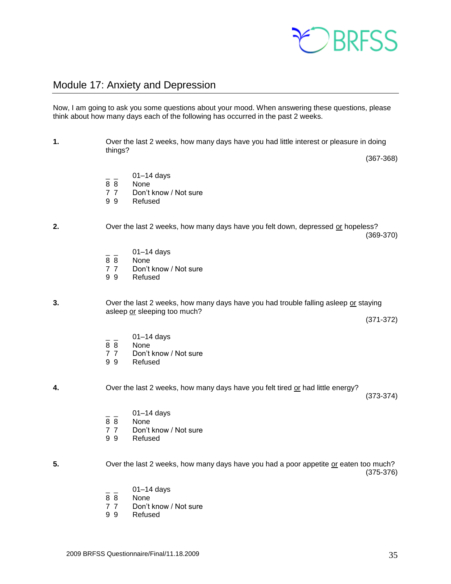

### <span id="page-34-0"></span>Module 17: Anxiety and Depression

Now, I am going to ask you some questions about your mood. When answering these questions, please think about how many days each of the following has occurred in the past 2 weeks.

**1.** Over the last 2 weeks, how many days have you had little interest or pleasure in doing things? (367-368)  $\frac{1}{8}$   $\frac{01-14}{8}$  days None 7 7 Don't know / Not sure 9 9 Refused **2.** Over the last 2 weeks, how many days have you felt down, depressed or hopeless? (369-370)  $\frac{1}{8}$   $\frac{01-14}{8}$  days None 7 7 Don't know / Not sure 9 9 Refused **3.** Over the last 2 weeks, how many days have you had trouble falling asleep or staying asleep or sleeping too much? (371-372)  $\frac{1}{8}$   $\frac{01-14}{8}$  days 8 8 None<br>7 7 Don't 7 7 Don't know / Not sure<br>9 9 Refused **Refused 4.** Over the last 2 weeks, how many days have you felt tired or had little energy? (373-374)  $01-14$  days 8 8 None 7 7 Don't know / Not sure 9 9 Refused **5.** Over the last 2 weeks, how many days have you had a poor appetite or eaten too much? (375-376)  $\frac{1}{8}$   $\frac{01-14}{8}$  days None 7 7 Don't know / Not sure 9 9 Refused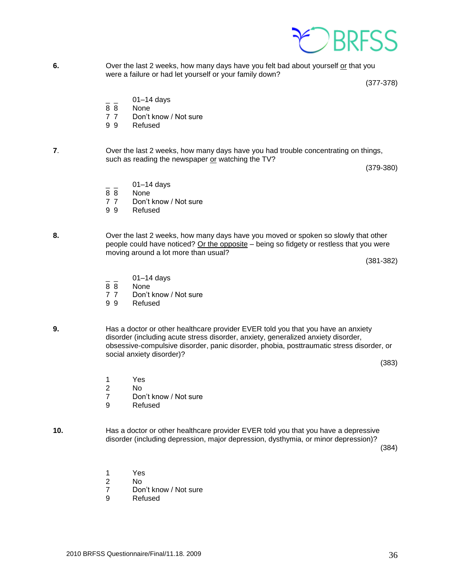

**6.** Over the last 2 weeks, how many days have you felt bad about yourself or that you were a failure or had let yourself or your family down?

(377-378)

- $01-14$  days
- 8 8 None
- 7 7 Don't know / Not sure
- 9 9 Refused

**7**. Over the last 2 weeks, how many days have you had trouble concentrating on things, such as reading the newspaper or watching the TV?

(379-380)

- $01-14$  days
- 8 8 None
- 7 7 Don't know / Not sure
- 9 9 Refused
- **8.** Over the last 2 weeks, how many days have you moved or spoken so slowly that other people could have noticed? Or the opposite - being so fidgety or restless that you were moving around a lot more than usual?

(381-382)

- $\frac{1}{8}$   $\frac{01-14}{8}$  days
- **None**
- 7 7 Don't know / Not sure
- 9 9 Refused
- **9.** Has a doctor or other healthcare provider EVER told you that you have an anxiety disorder (including acute stress disorder, anxiety, generalized anxiety disorder, obsessive-compulsive disorder, panic disorder, phobia, posttraumatic stress disorder, or social anxiety disorder)?

(383)

- 1 Yes
- 2 No
- 7 Don't know / Not sure
- 9 Refused
- **10.** Has a doctor or other healthcare provider EVER told you that you have a depressive disorder (including depression, major depression, dysthymia, or minor depression)?

(384)

- 1 Yes
- 2 No
- 7 Don't know / Not sure
- 9 Refused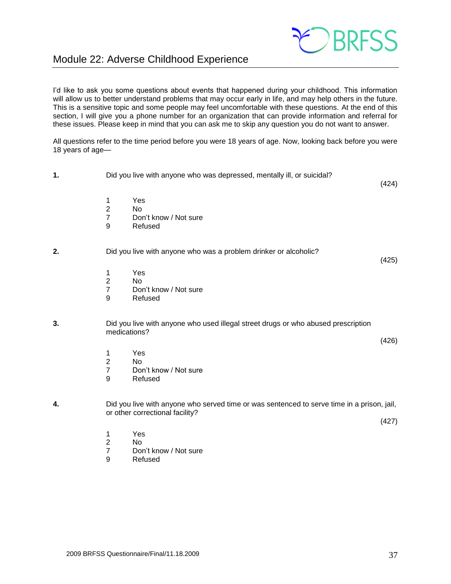

### <span id="page-36-0"></span>Module 22: Adverse Childhood Experience

I'd like to ask you some questions about events that happened during your childhood. This information will allow us to better understand problems that may occur early in life, and may help others in the future. This is a sensitive topic and some people may feel uncomfortable with these questions. At the end of this section, I will give you a phone number for an organization that can provide information and referral for these issues. Please keep in mind that you can ask me to skip any question you do not want to answer.

All questions refer to the time period before you were 18 years of age. Now, looking back before you were 18 years of age—

- **1.** Did you live with anyone who was depressed, mentally ill, or suicidal? (424) 1 Yes 2 No 7 Don't know / Not sure 9 Refused **2.** Did you live with anyone who was a problem drinker or alcoholic? (425) 1 Yes 2 No 7 Don't know / Not sure 9 Refused **3.** Did you live with anyone who used illegal street drugs or who abused prescription medications? (426) 1 Yes 2 No 7 Don't know / Not sure 9 Refused **4.** Did you live with anyone who served time or was sentenced to serve time in a prison, jail, or other correctional facility? (427) 1 Yes 2 No
	- 7 Don't know / Not sure
	- 9 Refused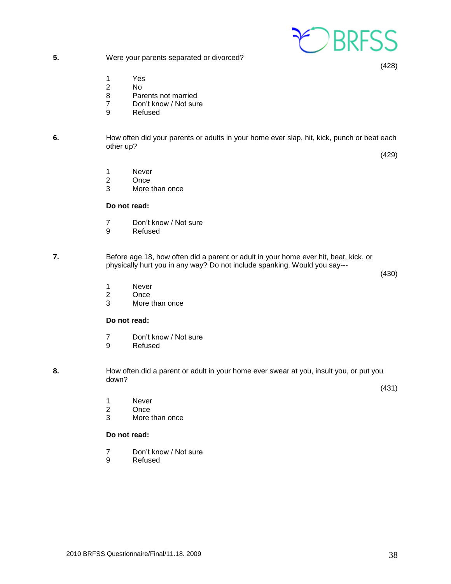

**5.** Were your parents separated or divorced?

(428)

- 1 Yes<br>2 No
- No.
- 8 Parents not married
- 7 Don't know / Not sure
- 9 Refused

#### **6.** How often did your parents or adults in your home ever slap, hit, kick, punch or beat each other up?

(429)

- 1 Never
- 2 Once
- 3 More than once

#### **Do not read:**

- 7 Don't know / Not sure
- 9 Refused

**7.** Before age 18, how often did a parent or adult in your home ever hit, beat, kick, or physically hurt you in any way? Do not include spanking. Would you say---

(430)

- 1 Never
- 2 Once<br>3 More
- More than once

#### **Do not read:**

- 7 Don't know / Not sure
- 9 Refused
- **8.** How often did a parent or adult in your home ever swear at you, insult you, or put you down?

(431)

- 1 Never<br>2 Once
- 2 Once<br>3 More
- More than once

#### **Do not read:**

- 7 Don't know / Not sure<br>9 Refused
- **Refused**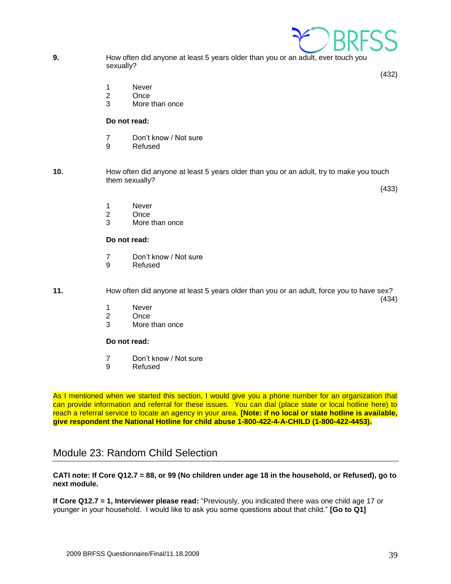**9.** How often did anyone at least 5 years older than you or an adult, ever touch you sexually?

(432)

- 1 Never
- 2 Once
- 3 More than once

#### **Do not read:**

- 7 Don't know / Not sure
- 9 Refused
- **10.** How often did anyone at least 5 years older than you or an adult, try to make you touch them sexually?

(433)

- 1 Never
- 2 Once
- 3 More than once

#### **Do not read:**

- 7 Don't know / Not sure
- 9 Refused

**11.** How often did anyone at least 5 years older than you or an adult, force you to have sex? (434)

- 1 Never
- 2 Once<br>3 More
- More than once

#### **Do not read:**

- 7 Don't know / Not sure
- 9 Refused

As I mentioned when we started this section, I would give you a phone number for an organization that can provide information and referral for these issues. You can dial (place state or local hotline here) to reach a referral service to locate an agency in your area. **[Note: if no local or state hotline is available, give respondent the National Hotline for child abuse 1-800-422-4-A-CHILD (1-800-422-4453).**

### Module 23: Random Child Selection

**CATI note: If Core Q12.7 = 88, or 99 (No children under age 18 in the household, or Refused), go to next module.**

**If Core Q12.7 = 1, Interviewer please read:** "Previously, you indicated there was one child age 17 or younger in your household. I would like to ask you some questions about that child." **[Go to Q1]**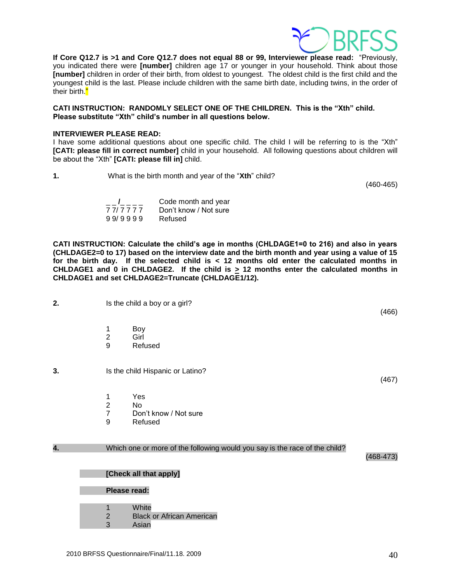

**If Core Q12.7 is >1 and Core Q12.7 does not equal 88 or 99, Interviewer please read:** "Previously, you indicated there were **[number]** children age 17 or younger in your household. Think about those **[number]** children in order of their birth, from oldest to youngest. The oldest child is the first child and the youngest child is the last. Please include children with the same birth date, including twins, in the order of their birth."

**CATI INSTRUCTION: RANDOMLY SELECT ONE OF THE CHILDREN. This is the "Xth" child. Please substitute "Xth" child's number in all questions below.**

#### **INTERVIEWER PLEASE READ:**

I have some additional questions about one specific child. The child I will be referring to is the "Xth" **[CATI: please fill in correct number]** child in your household. All following questions about children will be about the "Xth" **[CATI: please fill in]** child.

**1.** What is the birth month and year of the "**Xth**" child?

(460-465)

(466)

(467)

| $\overline{1}$ $\overline{1}$ $\overline{1}$ $\overline{1}$ $\overline{1}$ | Code month and year   |
|----------------------------------------------------------------------------|-----------------------|
| 7 7/ 7 7 7 7                                                               | Don't know / Not sure |
| 99/9999                                                                    | Refused               |

**CATI INSTRUCTION: Calculate the child's age in months (CHLDAGE1=0 to 216) and also in years (CHLDAGE2=0 to 17) based on the interview date and the birth month and year using a value of 15 for the birth day. If the selected child is < 12 months old enter the calculated months in CHLDAGE1** and 0 in CHLDAGE2. If the child is  $\geq$  12 months enter the calculated months in **CHLDAGE1 and set CHLDAGE2=Truncate (CHLDAGE1/12).** 

- **2.** Is the child a boy or a girl?
	- 1 Boy
	- 2 Girl
	- 9 Refused
- **3.** Is the child Hispanic or Latino?
	- 1 Yes
	- 2 No
	- 7 Don't know / Not sure
	- 9 Refused

#### **4.** Which one or more of the following would you say is the race of the child?

(468-473)

#### **[Check all that apply]**

#### **Please read:**

- 1 White
- 2 Black or African American
- 3 Asian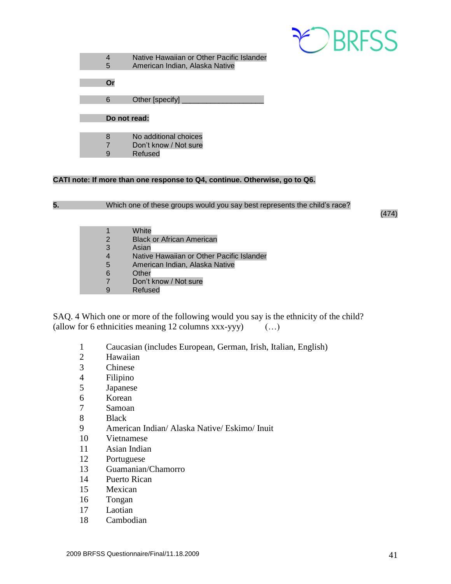

|              | Native Hawaiian or Other Pacific Islander |
|--------------|-------------------------------------------|
| 5            | American Indian, Alaska Native            |
|              |                                           |
| Or           |                                           |
|              |                                           |
| 6            | Other [specify]                           |
|              |                                           |
| Do not read: |                                           |
|              |                                           |
| 8            | No additional choices                     |
|              | Don't know / Not sure                     |

9 Refused

#### **CATI note: If more than one response to Q4, continue. Otherwise, go to Q6.**

**5.** Which one of these groups would you say best represents the child's race?

(474)

|                | White                                     |
|----------------|-------------------------------------------|
| 2              | <b>Black or African American</b>          |
| 3              | Asian                                     |
| $\overline{4}$ | Native Hawaiian or Other Pacific Islander |
| 5              | American Indian, Alaska Native            |
| 6              | Other                                     |
| 7              | Don't know / Not sure                     |
|                | Refused                                   |

SAQ. 4 Which one or more of the following would you say is the ethnicity of the child? (allow for 6 ethnicities meaning 12 columns xxx-yyy) (…)

- 1 Caucasian (includes European, German, Irish, Italian, English)
- 2 Hawaiian
- 3 Chinese
- 4 Filipino<br>5 Japanese
- **Japanese**
- 6 Korean
- 7 Samoan
- 8 Black
- 9 American Indian/ Alaska Native/ Eskimo/ Inuit
- 10 Vietnamese
- 11 Asian Indian
- 12 Portuguese
- 13 Guamanian/Chamorro
- 14 Puerto Rican
- 15 Mexican
- 16 Tongan
- 17 Laotian
- 18 Cambodian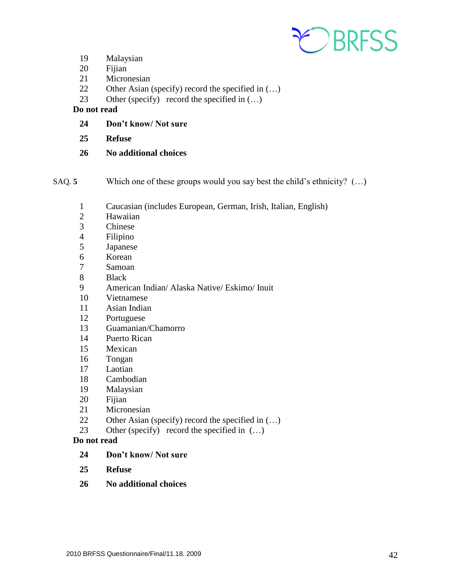

- Malaysian
- Fijian
- Micronesian
- Other Asian (specify) record the specified in (…)
- 23 Other (specify) record the specified in  $(...)$

#### **Do not read**

- **Don't know/ Not sure**
- **Refuse**
- **No additional choices**
- SAQ. **5** Which one of these groups would you say best the child's ethnicity? (…)
	- Caucasian (includes European, German, Irish, Italian, English)
	- Hawaiian
	- Chinese
	- Filipino
	- Japanese
	- Korean
	- Samoan
	- Black
	- American Indian/ Alaska Native/ Eskimo/ Inuit
	- Vietnamese
	- Asian Indian
	- Portuguese
	- Guamanian/Chamorro
	- Puerto Rican
	- Mexican
	- Tongan
	- Laotian
	- Cambodian
	- Malaysian
	- Fijian
	- Micronesian
	- Other Asian (specify) record the specified in (…)
	- 23 Other (specify) record the specified in  $(...)$

#### **Do not read**

- **Don't know/ Not sure**
- **Refuse**
- **No additional choices**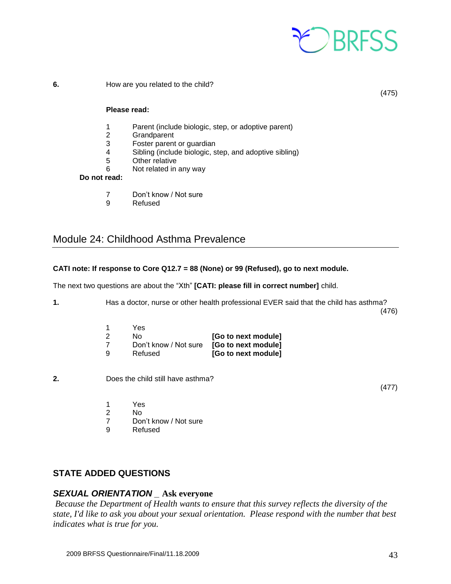

**6.** How are you related to the child?

(475)

#### **Please read:**

- 1 Parent (include biologic, step, or adoptive parent)
- 2 Grandparent
- 3 Foster parent or guardian
- 4 Sibling (include biologic, step, and adoptive sibling)
- 5 Other relative
- 6 Not related in any way

#### **Do not read:**

- 7 Don't know / Not sure
- 9 Refused

### <span id="page-42-0"></span>Module 24: Childhood Asthma Prevalence

#### **CATI note: If response to Core Q12.7 = 88 (None) or 99 (Refused), go to next module.**

The next two questions are about the "Xth" **[CATI: please fill in correct number]** child.

**1.** Has a doctor, nurse or other health professional EVER said that the child has asthma? (476)

| - 1 | 1 H.S                 |                     |
|-----|-----------------------|---------------------|
| 2   | N٥                    | [Go to next module] |
| -7  | Don't know / Not sure | [Go to next module] |
| ۰q  | Refused               | [Go to next module] |

**2.** Does the child still have asthma?

(477)

1 Yes

 $1$   $V_{\alpha\alpha}$ 

- 2 No
- 7 Don't know / Not sure
- 9 Refused

#### **STATE ADDED QUESTIONS**

#### *SEXUAL ORIENTATION \_* **Ask everyone**

*Because the Department of Health wants to ensure that this survey reflects the diversity of the state, I'd like to ask you about your sexual orientation. Please respond with the number that best indicates what is true for you.*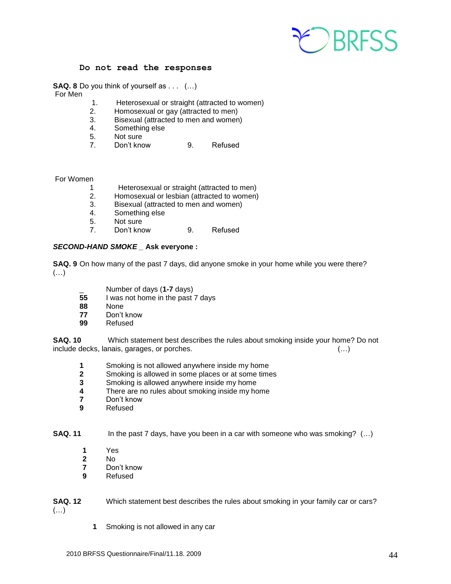

#### **Do not read the responses**

**SAQ. 8** Do you think of yourself as . . . (…)

For Men

- 1. Heterosexual or straight (attracted to women)
- 2. Homosexual or gay (attracted to men)
- 3. Bisexual (attracted to men and women)
- 4. Something else
- 5. Not sure
- 7. Don't know 9. Refused

#### For Women

- 1 Heterosexual or straight (attracted to men)
- 2. Homosexual or lesbian (attracted to women)
- 3. Bisexual (attracted to men and women)
- 4. Something else
- 5. Not sure
- 7. Don't know 9. Refused

#### *SECOND-HAND SMOKE \_* **Ask everyone :**

**SAQ. 9** On how many of the past 7 days, did anyone smoke in your home while you were there?  $(\ldots)$ 

- **Example 1** Number of days (1-7 days)<br>55 I was not home in the past
- **55** I was not home in the past 7 days
- **88** None
- **77** Don't know
- **99** Refused

**SAQ. 10** Which statement best describes the rules about smoking inside your home? Do not include decks, lanais, garages, or porches. (…)

- **1** Smoking is not allowed anywhere inside my home
- **2** Smoking is allowed in some places or at some times
- **3** Smoking is allowed anywhere inside my home
- **4** There are no rules about smoking inside my home
- **7** Don't know
- **9** Refused

**SAQ. 11** In the past 7 days, have you been in a car with someone who was smoking? (...)

- **1** Yes
- **2** No
- **7** Don't know
- **9** Refused

**SAQ. 12** Which statement best describes the rules about smoking in your family car or cars? (…)

**1** Smoking is not allowed in any car